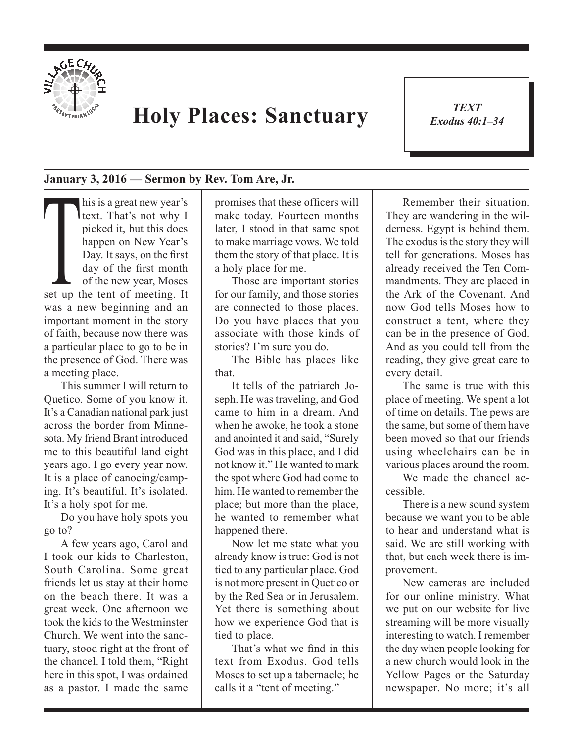

## **Holy Places: Sanctuary**

*TEXT Exodus 40:1–34* 1

## **January 3, 2016 — Sermon by Rev. Tom Are, Jr.**

This is a great new year's<br>
text. That's not why I<br>
picked it, but this does<br>
happen on New Year's<br>
Day. It says, on the first<br>
day of the first month<br>
of the new year, Moses<br>
set up the tent of meeting. It text. That's not why I picked it, but this does happen on New Year's Day. It says, on the first day of the first month of the new year, Moses was a new beginning and an important moment in the story of faith, because now there was a particular place to go to be in the presence of God. There was a meeting place.

This summer I will return to Quetico. Some of you know it. It's a Canadian national park just across the border from Minnesota. My friend Brant introduced me to this beautiful land eight years ago. I go every year now. It is a place of canoeing/camping. It's beautiful. It's isolated. It's a holy spot for me.

Do you have holy spots you go to?

A few years ago, Carol and I took our kids to Charleston, South Carolina. Some great friends let us stay at their home on the beach there. It was a great week. One afternoon we took the kids to the Westminster Church. We went into the sanctuary, stood right at the front of the chancel. I told them, "Right here in this spot, I was ordained as a pastor. I made the same

promises that these officers will make today. Fourteen months later, I stood in that same spot to make marriage vows. We told them the story of that place. It is a holy place for me.

Those are important stories for our family, and those stories are connected to those places. Do you have places that you associate with those kinds of stories? I'm sure you do.

The Bible has places like that.

It tells of the patriarch Joseph. He was traveling, and God came to him in a dream. And when he awoke, he took a stone and anointed it and said, "Surely God was in this place, and I did not know it." He wanted to mark the spot where God had come to him. He wanted to remember the place; but more than the place, he wanted to remember what happened there.

Now let me state what you already know is true: God is not tied to any particular place. God is not more present in Quetico or by the Red Sea or in Jerusalem. Yet there is something about how we experience God that is tied to place.

That's what we find in this text from Exodus. God tells Moses to set up a tabernacle; he calls it a "tent of meeting."

Remember their situation. They are wandering in the wilderness. Egypt is behind them. The exodus is the story they will tell for generations. Moses has already received the Ten Commandments. They are placed in the Ark of the Covenant. And now God tells Moses how to construct a tent, where they can be in the presence of God. And as you could tell from the reading, they give great care to every detail.

The same is true with this place of meeting. We spent a lot of time on details. The pews are the same, but some of them have been moved so that our friends using wheelchairs can be in various places around the room.

We made the chancel accessible.

There is a new sound system because we want you to be able to hear and understand what is said. We are still working with that, but each week there is improvement.

New cameras are included for our online ministry. What we put on our website for live streaming will be more visually interesting to watch. I remember the day when people looking for a new church would look in the Yellow Pages or the Saturday newspaper. No more; it's all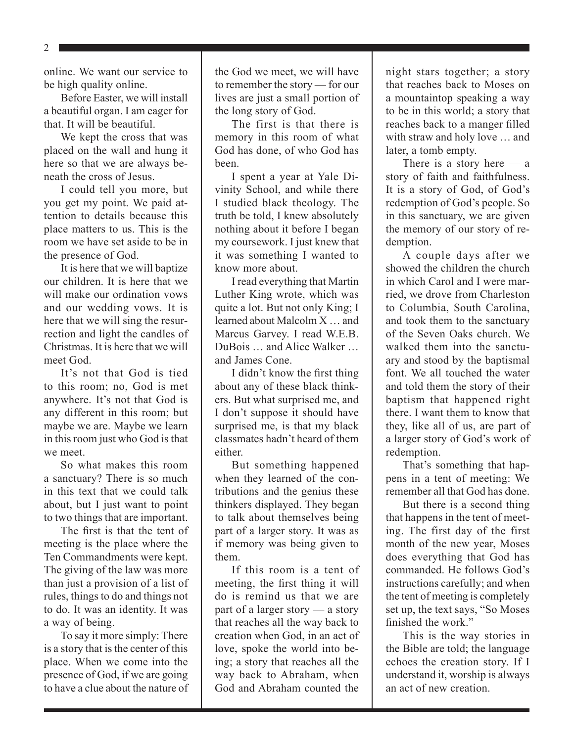2

online. We want our service to be high quality online.

Before Easter, we will install a beautiful organ. I am eager for that. It will be beautiful.

We kept the cross that was placed on the wall and hung it here so that we are always beneath the cross of Jesus.

I could tell you more, but you get my point. We paid attention to details because this place matters to us. This is the room we have set aside to be in the presence of God.

It is here that we will baptize our children. It is here that we will make our ordination vows and our wedding vows. It is here that we will sing the resurrection and light the candles of Christmas. It is here that we will meet God.

It's not that God is tied to this room; no, God is met anywhere. It's not that God is any different in this room; but maybe we are. Maybe we learn in this room just who God is that we meet.

So what makes this room a sanctuary? There is so much in this text that we could talk about, but I just want to point to two things that are important.

The first is that the tent of meeting is the place where the Ten Commandments were kept. The giving of the law was more than just a provision of a list of rules, things to do and things not to do. It was an identity. It was a way of being.

To say it more simply: There is a story that is the center of this place. When we come into the presence of God, if we are going to have a clue about the nature of the God we meet, we will have to remember the story — for our lives are just a small portion of the long story of God.

The first is that there is memory in this room of what God has done, of who God has been.

I spent a year at Yale Divinity School, and while there I studied black theology. The truth be told, I knew absolutely nothing about it before I began my coursework. I just knew that it was something I wanted to know more about.

I read everything that Martin Luther King wrote, which was quite a lot. But not only King; I learned about Malcolm X … and Marcus Garvey. I read W.E.B. DuBois … and Alice Walker … and James Cone.

I didn't know the first thing about any of these black thinkers. But what surprised me, and I don't suppose it should have surprised me, is that my black classmates hadn't heard of them either.

But something happened when they learned of the contributions and the genius these thinkers displayed. They began to talk about themselves being part of a larger story. It was as if memory was being given to them.

If this room is a tent of meeting, the first thing it will do is remind us that we are part of a larger story — a story that reaches all the way back to creation when God, in an act of love, spoke the world into being; a story that reaches all the way back to Abraham, when God and Abraham counted the

night stars together; a story that reaches back to Moses on a mountaintop speaking a way to be in this world; a story that reaches back to a manger filled with straw and holy love … and later, a tomb empty.

There is a story here — a story of faith and faithfulness. It is a story of God, of God's redemption of God's people. So in this sanctuary, we are given the memory of our story of redemption.

A couple days after we showed the children the church in which Carol and I were married, we drove from Charleston to Columbia, South Carolina, and took them to the sanctuary of the Seven Oaks church. We walked them into the sanctuary and stood by the baptismal font. We all touched the water and told them the story of their baptism that happened right there. I want them to know that they, like all of us, are part of a larger story of God's work of redemption.

That's something that happens in a tent of meeting: We remember all that God has done.

But there is a second thing that happens in the tent of meeting. The first day of the first month of the new year, Moses does everything that God has commanded. He follows God's instructions carefully; and when the tent of meeting is completely set up, the text says, "So Moses finished the work."

This is the way stories in the Bible are told; the language echoes the creation story. If I understand it, worship is always an act of new creation.